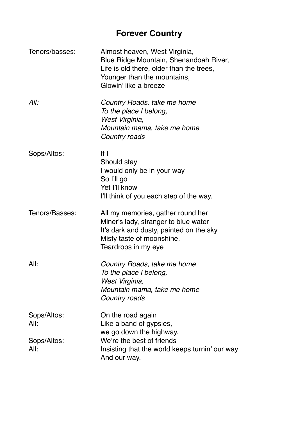## **Forever Country**

| Tenors/basses:                             | Almost heaven, West Virginia,<br>Blue Ridge Mountain, Shenandoah River,<br>Life is old there, older than the trees,<br>Younger than the mountains,<br>Glowin' like a breeze |
|--------------------------------------------|-----------------------------------------------------------------------------------------------------------------------------------------------------------------------------|
| All:                                       | Country Roads, take me home<br>To the place I belong,<br>West Virginia,<br>Mountain mama, take me home<br>Country roads                                                     |
| Sops/Altos:                                | $If \overline{a}$<br>Should stay<br>I would only be in your way<br>So l'Il go<br>Yet I'll know<br>I'll think of you each step of the way.                                   |
| Tenors/Basses:                             | All my memories, gather round her<br>Miner's lady, stranger to blue water<br>It's dark and dusty, painted on the sky<br>Misty taste of moonshine,<br>Teardrops in my eye    |
| All:                                       | Country Roads, take me home<br>To the place I belong,<br>West Virginia,<br>Mountain mama, take me home<br>Country roads                                                     |
| Sops/Altos:<br>All:<br>Sops/Altos:<br>All: | On the road again<br>Like a band of gypsies,<br>we go down the highway.<br>We're the best of friends<br>Insisting that the world keeps turnin' our way<br>And our way.      |